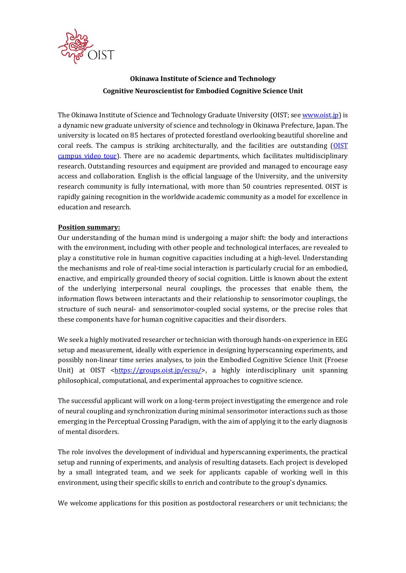

# **Okinawa Institute of Science and Technology Cognitive Neuroscientist for Embodied Cognitive Science Unit**

The Okinawa Institute of Science and Technology Graduate University (OIST; se[e www.oist.jp\)](http://www.oist.jp/) is a dynamic new graduate university of science and technology in Okinawa Prefecture, Japan. The university is located on 85 hectares of protected forestland overlooking beautiful shoreline and coral reefs. The campus is striking architecturally, and the facilities are outstanding [\(OIST](https://youtu.be/OLeylXbZDpo)  [campus video tour\)](https://youtu.be/OLeylXbZDpo). There are no academic departments, which facilitates multidisciplinary research. Outstanding resources and equipment are provided and managed to encourage easy access and collaboration. English is the official language of the University, and the university research community is fully international, with more than 50 countries represented. OIST is rapidly gaining recognition in the worldwide academic community as a model for excellence in education and research.

## **Position summary:**

Our understanding of the human mind is undergoing a major shift: the body and interactions with the environment, including with other people and technological interfaces, are revealed to play a constitutive role in human cognitive capacities including at a high-level. Understanding the mechanisms and role of real-time social interaction is particularly crucial for an embodied, enactive, and empirically grounded theory of social cognition. Little is known about the extent of the underlying interpersonal neural couplings, the processes that enable them, the information flows between interactants and their relationship to sensorimotor couplings, the structure of such neural- and sensorimotor-coupled social systems, or the precise roles that these components have for human cognitive capacities and their disorders.

We seek a highly motivated researcher or technician with thorough hands-on experience in EEG setup and measurement, ideally with experience in designing hyperscanning experiments, and possibly non-linear time series analyses, to join the Embodied Cognitive Science Unit (Froese Unit) at OIST [<https://groups.oist.jp/ecsu/>](https://groups.oist.jp/ecsu/), a highly interdisciplinary unit spanning philosophical, computational, and experimental approaches to cognitive science.

The successful applicant will work on a long-term project investigating the emergence and role of neural coupling and synchronization during minimal sensorimotor interactions such as those emerging in the Perceptual Crossing Paradigm, with the aim of applying it to the early diagnosis of mental disorders.

The role involves the development of individual and hyperscanning experiments, the practical setup and running of experiments, and analysis of resulting datasets. Each project is developed by a small integrated team, and we seek for applicants capable of working well in this environment, using their specific skills to enrich and contribute to the group's dynamics.

We welcome applications for this position as postdoctoral researchers or unit technicians; the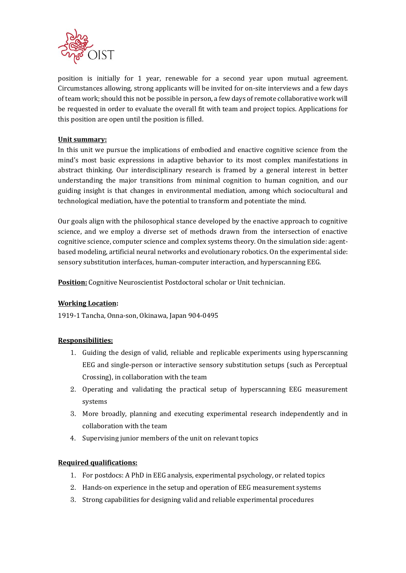

position is initially for 1 year, renewable for a second year upon mutual agreement. Circumstances allowing, strong applicants will be invited for on-site interviews and a few days of team work; should this not be possible in person, a few days of remote collaborative work will be requested in order to evaluate the overall fit with team and project topics. Applications for this position are open until the position is filled.

## **Unit summary:**

In this unit we pursue the implications of embodied and enactive cognitive science from the mind's most basic expressions in adaptive behavior to its most complex manifestations in abstract thinking. Our interdisciplinary research is framed by a general interest in better understanding the major transitions from minimal cognition to human cognition, and our guiding insight is that changes in environmental mediation, among which sociocultural and technological mediation, have the potential to transform and potentiate the mind.

Our goals align with the philosophical stance developed by the enactive approach to cognitive science, and we employ a diverse set of methods drawn from the intersection of enactive cognitive science, computer science and complex systems theory. On the simulation side: agentbased modeling, artificial neural networks and evolutionary robotics. On the experimental side: sensory substitution interfaces, human-computer interaction, and hyperscanning EEG.

**Position:** Cognitive Neuroscientist Postdoctoral scholar or Unit technician.

#### **Working Location:**

1919-1 Tancha, Onna-son, Okinawa, Japan 904-0495

#### **Responsibilities:**

- 1. Guiding the design of valid, reliable and replicable experiments using hyperscanning EEG and single-person or interactive sensory substitution setups (such as Perceptual Crossing), in collaboration with the team
- 2. Operating and validating the practical setup of hyperscanning EEG measurement systems
- 3. More broadly, planning and executing experimental research independently and in collaboration with the team
- 4. Supervising junior members of the unit on relevant topics

## **Required qualifications:**

- 1. For postdocs: A PhD in EEG analysis, experimental psychology, or related topics
- 2. Hands-on experience in the setup and operation of EEG measurement systems
- 3. Strong capabilities for designing valid and reliable experimental procedures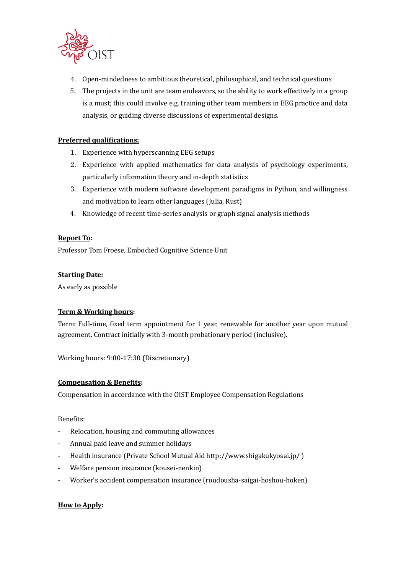

- 4. Open-mindedness to ambitious theoretical, philosophical, and technical questions
- 5. The projects in the unit are team endeavors, so the ability to work effectively in a group is a must; this could involve e.g. training other team members in EEG practice and data analysis, or guiding diverse discussions of experimental designs.

# **Preferred qualifications:**

- 1. Experience with hyperscanning EEG setups
- 2. Experience with applied mathematics for data analysis of psychology experiments, particularly information theory and in-depth statistics
- 3. Experience with modern software development paradigms in Python, and willingness and motivation to learn other languages (Julia, Rust)
- 4. Knowledge of recent time-series analysis or graph signal analysis methods

## **Report To:**

Professor Tom Froese, Embodied Cognitive Science Unit

#### **Starting Date:**

As early as possible

## **Term & Working hours:**

Term: Full-time, fixed term appointment for 1 year, renewable for another year upon mutual agreement. Contract initially with 3-month probationary period (inclusive).

Working hours: 9:00-17:30 (Discretionary)

## **Compensation & Benefits:**

Compensation in accordance with the OIST Employee Compensation Regulations

#### Benefits:

- Relocation, housing and commuting allowances
- Annual paid leave and summer holidays
- Health insurance (Private School Mutual Aid http://www.shigakukyosai.jp/ )
- Welfare pension insurance (kousei-nenkin)
- Worker's accident compensation insurance (roudousha-saigai-hoshou-hoken)

## **How to Apply:**